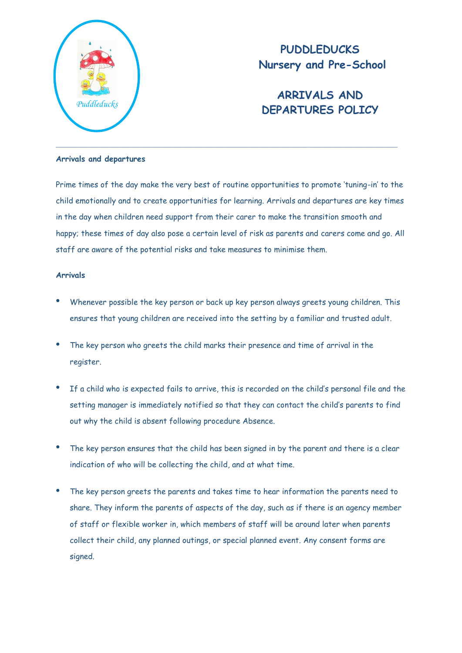

**PUDDLEDUCKS Nursery and Pre-School**

# **ARRIVALS AND DEPARTURES POLICY** *Puddleducks*

### **Arrivals and departures**

Prime times of the day make the very best of routine opportunities to promote 'tuning-in' to the child emotionally and to create opportunities for learning. Arrivals and departures are key times in the day when children need support from their carer to make the transition smooth and happy; these times of day also pose a certain level of risk as parents and carers come and go. All staff are aware of the potential risks and take measures to minimise them.

## **Arrivals**

- Whenever possible the key person or back up key person always greets young children. This ensures that young children are received into the setting by a familiar and trusted adult.
- The key person who greets the child marks their presence and time of arrival in the register.
- If a child who is expected fails to arrive, this is recorded on the child's personal file and the setting manager is immediately notified so that they can contact the child's parents to find out why the child is absent following procedure Absence.
- The key person ensures that the child has been signed in by the parent and there is a clear indication of who will be collecting the child, and at what time.
- The key person greets the parents and takes time to hear information the parents need to share. They inform the parents of aspects of the day, such as if there is an agency member of staff or flexible worker in, which members of staff will be around later when parents collect their child, any planned outings, or special planned event. Any consent forms are signed.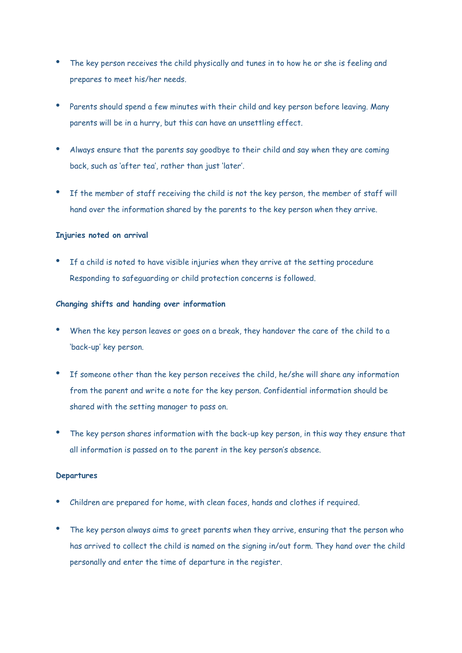- The key person receives the child physically and tunes in to how he or she is feeling and prepares to meet his/her needs.
- Parents should spend a few minutes with their child and key person before leaving. Many parents will be in a hurry, but this can have an unsettling effect.
- Always ensure that the parents say goodbye to their child and say when they are coming back, such as 'after tea', rather than just 'later'.
- If the member of staff receiving the child is not the key person, the member of staff will hand over the information shared by the parents to the key person when they arrive.

## **Injuries noted on arrival**

 If a child is noted to have visible injuries when they arrive at the setting procedure Responding to safeguarding or child protection concerns is followed.

### **Changing shifts and handing over information**

- When the key person leaves or goes on a break, they handover the care of the child to a 'back-up' key person.
- If someone other than the key person receives the child, he/she will share any information from the parent and write a note for the key person. Confidential information should be shared with the setting manager to pass on.
- The key person shares information with the back-up key person, in this way they ensure that all information is passed on to the parent in the key person's absence.

#### **Departures**

- Children are prepared for home, with clean faces, hands and clothes if required.
- The key person always aims to greet parents when they arrive, ensuring that the person who has arrived to collect the child is named on the signing in/out form. They hand over the child personally and enter the time of departure in the register.